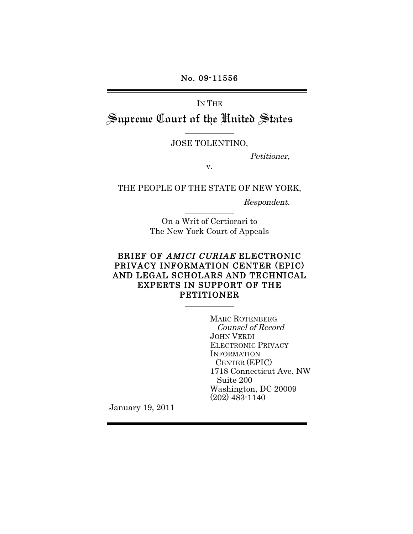No. 09-11556

IN THE Supreme Court of the Hnited States

JOSE TOLENTINO,

Petitioner,

v.

THE PEOPLE OF THE STATE OF NEW YORK,

Respondent.

On a Writ of Certiorari to The New York Court of Appeals

### BRIEF OF AMICI CURIAE ELECTRONIC PRIVACY INFORMATION CENTER (EPIC) AND LEGAL SCHOLARS AND TECHNICAL EXPERTS IN SUPPORT OF THE PETITIONER

MARC ROTENBERG Counsel of Record JOHN VERDI ELECTRONIC PRIVACY INFORMATION CENTER (EPIC) 1718 Connecticut Ave. NW Suite 200 Washington, DC 20009 (202) 483-1140

January 19, 2011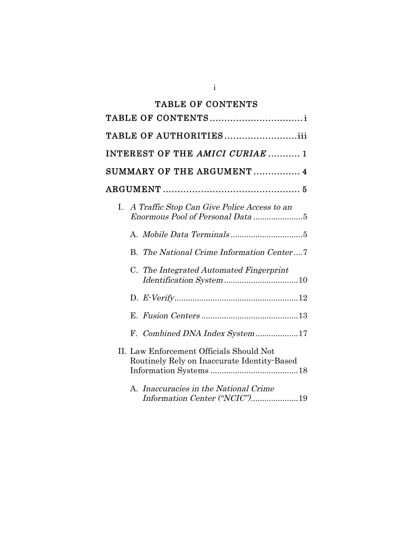# TABLE OF CONTENTS

| TABLE OF AUTHORITIESiii                                                                 |
|-----------------------------------------------------------------------------------------|
| INTEREST OF THE AMICI CURIAE  1                                                         |
| SUMMARY OF THE ARGUMENT  4                                                              |
|                                                                                         |
| A Traffic Stop Can Give Police Access to an<br>L.<br>Enormous Pool of Personal Data 5   |
|                                                                                         |
| B. The National Crime Information Center7                                               |
| C. The Integrated Automated Fingerprint<br>Identification System10                      |
|                                                                                         |
|                                                                                         |
| F. Combined DNA Index System17                                                          |
| II. Law Enforcement Officials Should Not<br>Routinely Rely on Inaccurate Identity-Based |
| A. Inaccuracies in the National Crime<br>Information Center ("NCIC")19                  |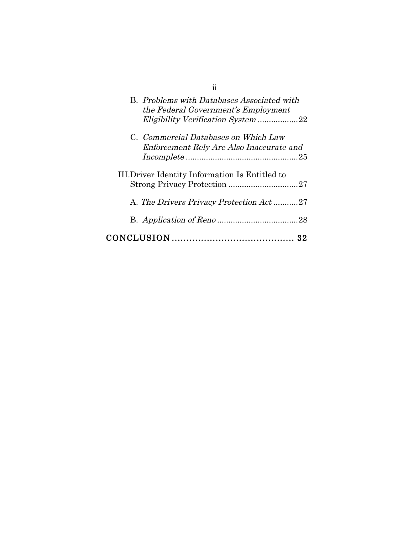| 11                                                                                |
|-----------------------------------------------------------------------------------|
| B. Problems with Databases Associated with<br>the Federal Government's Employment |
| Eligibility Verification System 22                                                |
| C. Commercial Databases on Which Law                                              |
| Enforcement Rely Are Also Inaccurate and                                          |
| III. Driver Identity Information Is Entitled to                                   |
| A. The Drivers Privacy Protection Act27                                           |
|                                                                                   |
|                                                                                   |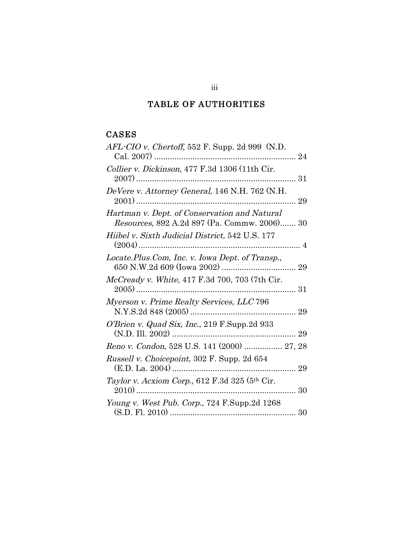# TABLE OF AUTHORITIES

## CASES

| $AFL$ -CIO v. Chertoff, 552 F. Supp. 2d 999 (N.D.                                            |
|----------------------------------------------------------------------------------------------|
| Collier v. Dickinson, 477 F.3d 1306 (11th Cir.                                               |
| DeVere v. Attorney General, 146 N.H. 762 (N.H.<br>29                                         |
| Hartman v. Dept. of Conservation and Natural<br>Resources, 892 A.2d 897 (Pa. Commw. 2006) 30 |
| Hiibel v. Sixth Judicial District, 542 U.S. 177                                              |
| Locate.Plus.Com, Inc. v. Iowa Dept. of Transp.,                                              |
| McCready v. White, 417 F.3d 700, 703 (7th Cir.                                               |
| Myerson v. Prime Realty Services, LLC 796                                                    |
| O'Brien v. Quad Six, Inc., 219 F.Supp.2d 933                                                 |
| Reno v. Condon, 528 U.S. 141 (2000)  27, 28                                                  |
| Russell v. Choicepoint, 302 F. Supp. 2d 654                                                  |
| Taylor v. Acxiom Corp., 612 F.3d 325 (5th Cir.                                               |
| Young v. West Pub. Corp., 724 F.Supp.2d 1268                                                 |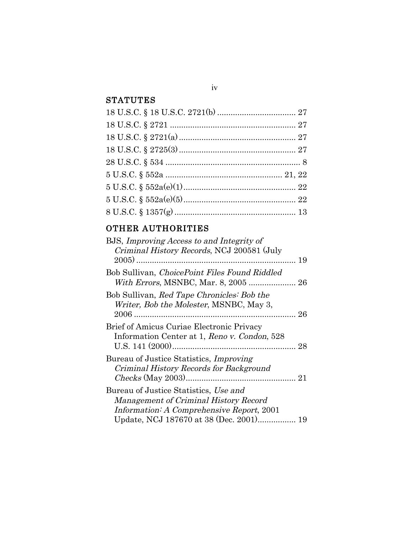## **STATUTES**

# OTHER AUTHORITIES

| BJS, Improving Access to and Integrity of<br>Criminal History Records, NCJ 200581 (July                                     |  |
|-----------------------------------------------------------------------------------------------------------------------------|--|
| Bob Sullivan, ChoicePoint Files Found Riddled                                                                               |  |
| Bob Sullivan, Red Tape Chronicles: Bob the<br>Writer, Bob the Molester, MSNBC, May 3,                                       |  |
| Brief of Amicus Curiae Electronic Privacy<br>Information Center at 1, Reno v. Condon, 528                                   |  |
| Bureau of Justice Statistics, <i>Improving</i><br>Criminal History Records for Background                                   |  |
| Bureau of Justice Statistics, Use and<br>Management of Criminal History Record<br>Information: A Comprehensive Report, 2001 |  |

### iv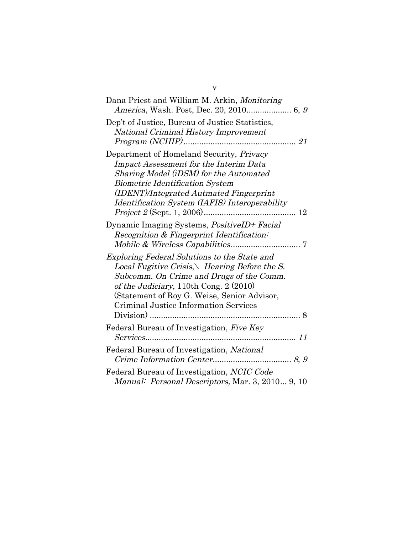| Dep't of Justice, Bureau of Justice Statistics,<br><b>National Criminal History Improvement</b>                                                                                                                                                                            |
|----------------------------------------------------------------------------------------------------------------------------------------------------------------------------------------------------------------------------------------------------------------------------|
| Department of Homeland Security, Privacy<br><b>Impact Assessment for the Interim Data</b><br>Sharing Model (iDSM) for the Automated<br><b>Biometric Identification System</b><br>(IDENT)/Integrated Autmated Fingerprint<br>Identification System (IAFIS) Interoperability |
| Dynamic Imaging Systems, <i>PositiveID+ Facial</i><br>Recognition & Fingerprint Identification:                                                                                                                                                                            |
| Exploring Federal Solutions to the State and<br>Local Fugitive Crisis, Hearing Before the S.<br>Subcomm. On Crime and Drugs of the Comm.<br>of the Judiciary, 110th Cong. 2 (2010)<br>(Statement of Roy G. Weise, Senior Advisor,<br>Criminal Justice Information Services |
| Federal Bureau of Investigation, Five Key                                                                                                                                                                                                                                  |
| Federal Bureau of Investigation, National                                                                                                                                                                                                                                  |
| Federal Bureau of Investigation, NCIC Code<br>Manual: Personal Descriptors, Mar. 3, 2010 9, 10                                                                                                                                                                             |

v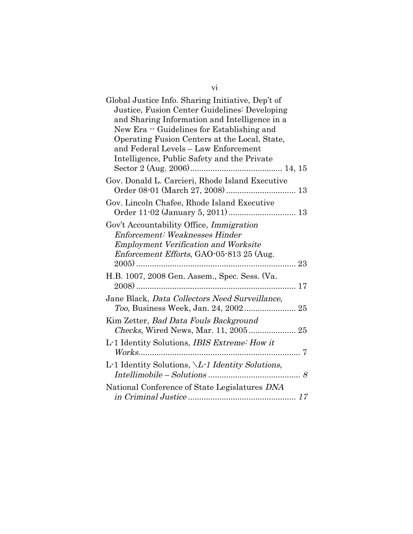| Global Justice Info. Sharing Initiative, Dep't of<br>Justice, Fusion Center Guidelines: Developing<br>and Sharing Information and Intelligence in a<br>New Era - Guidelines for Establishing and<br>Operating Fusion Centers at the Local, State,<br>and Federal Levels - Law Enforcement<br>Intelligence, Public Safety and the Private |
|------------------------------------------------------------------------------------------------------------------------------------------------------------------------------------------------------------------------------------------------------------------------------------------------------------------------------------------|
| Gov. Donald L. Carcieri, Rhode Island Executive                                                                                                                                                                                                                                                                                          |
| Gov. Lincoln Chafee, Rhode Island Executive                                                                                                                                                                                                                                                                                              |
| Gov't Accountability Office, Immigration<br>Enforcement: Weaknesses Hinder<br><b>Employment Verification and Worksite</b><br><i>Enforcement Efforts</i> , GAO-05-813 25 (Aug.<br>23                                                                                                                                                      |
| H.B. 1007, 2008 Gen. Assem., Spec. Sess. (Va.                                                                                                                                                                                                                                                                                            |
| Jane Black, Data Collectors Need Surveillance,                                                                                                                                                                                                                                                                                           |
| Kim Zetter, Bad Data Fouls Background<br>Checks, Wired News, Mar. 11, 2005 25                                                                                                                                                                                                                                                            |
| L-1 Identity Solutions, <i>IBIS Extreme: How it</i>                                                                                                                                                                                                                                                                                      |
| L-1 Identity Solutions, \L-1 Identity Solutions,                                                                                                                                                                                                                                                                                         |
| National Conference of State Legislatures DNA                                                                                                                                                                                                                                                                                            |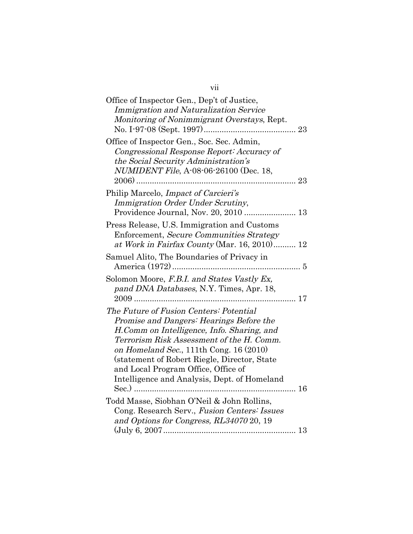| vii                                                                                                                                                                                                                                                                                                                                                                                 |
|-------------------------------------------------------------------------------------------------------------------------------------------------------------------------------------------------------------------------------------------------------------------------------------------------------------------------------------------------------------------------------------|
| Office of Inspector Gen., Dep't of Justice,<br><b>Immigration and Naturalization Service</b><br>Monitoring of Nonimmigrant Overstays, Rept.                                                                                                                                                                                                                                         |
| Office of Inspector Gen., Soc. Sec. Admin,<br>Congressional Response Report: Accuracy of<br>the Social Security Administration's<br><i>NUMIDENT File, A-08-06-26100 (Dec. 18,</i><br>$2006)$                                                                                                                                                                                        |
| Philip Marcelo, <i>Impact of Carcieri's</i><br>Immigration Order Under Scrutiny,                                                                                                                                                                                                                                                                                                    |
| Press Release, U.S. Immigration and Customs<br>Enforcement, Secure Communities Strategy<br>at Work in Fairfax County (Mar. 16, 2010) 12                                                                                                                                                                                                                                             |
| Samuel Alito, The Boundaries of Privacy in                                                                                                                                                                                                                                                                                                                                          |
| Solomon Moore, F.B.I. and States Vastly Ex,<br>pand DNA Databases, N.Y. Times, Apr. 18,                                                                                                                                                                                                                                                                                             |
| The Future of Fusion Centers: Potential<br>Promise and Dangers: Hearings Before the<br>H.Comm on Intelligence, Info. Sharing, and<br>Terrorism Risk Assessment of the H. Comm.<br>on Homeland Sec., 111th Cong. $16(2010)$<br>(statement of Robert Riegle, Director, State<br>and Local Program Office, Office of<br>Intelligence and Analysis, Dept. of Homeland<br>$\text{Sec.})$ |
| Todd Masse, Siobhan O'Neil & John Rollins,<br>Cong. Research Serv., Fusion Centers: Issues<br>and Options for Congress, RL34070 20, 19                                                                                                                                                                                                                                              |
|                                                                                                                                                                                                                                                                                                                                                                                     |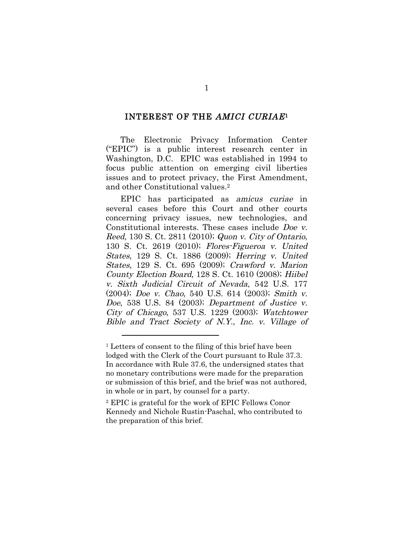#### INTEREST OF THE AMICI CURIAE1

The Electronic Privacy Information Center ("EPIC") is a public interest research center in Washington, D.C. EPIC was established in 1994 to focus public attention on emerging civil liberties issues and to protect privacy, the First Amendment, and other Constitutional values.2

EPIC has participated as amicus curiae in several cases before this Court and other courts concerning privacy issues, new technologies, and Constitutional interests. These cases include Doe v. Reed, 130 S. Ct. 2811 (2010); Quon v. City of Ontario, 130 S. Ct. 2619 (2010); Flores-Figueroa v. United States, 129 S. Ct. 1886 (2009); Herring v. United States, 129 S. Ct. 695 (2009); Crawford v. Marion County Election Board, 128 S. Ct. 1610 (2008); Hiibel v. Sixth Judicial Circuit of Nevada, 542 U.S. 177 (2004); Doe v. Chao, 540 U.S. 614 (2003); Smith v. Doe, 538 U.S. 84 (2003); Department of Justice v. City of Chicago, 537 U.S. 1229 (2003); Watchtower Bible and Tract Society of N.Y., Inc. v. Village of

<sup>&</sup>lt;sup>1</sup> Letters of consent to the filing of this brief have been lodged with the Clerk of the Court pursuant to Rule 37.3. In accordance with Rule 37.6, the undersigned states that no monetary contributions were made for the preparation or submission of this brief, and the brief was not authored, in whole or in part, by counsel for a party.

<sup>2</sup> EPIC is grateful for the work of EPIC Fellows Conor Kennedy and Nichole Rustin-Paschal, who contributed to the preparation of this brief.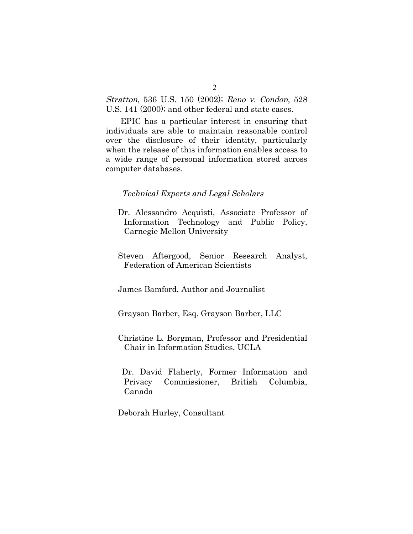Stratton, 536 U.S. 150 (2002); Reno v. Condon, 528 U.S. 141 (2000); and other federal and state cases.

EPIC has a particular interest in ensuring that individuals are able to maintain reasonable control over the disclosure of their identity, particularly when the release of this information enables access to a wide range of personal information stored across computer databases.

#### Technical Experts and Legal Scholars

- Dr. Alessandro Acquisti, Associate Professor of Information Technology and Public Policy, Carnegie Mellon University
- Steven Aftergood, Senior Research Analyst, Federation of American Scientists

James Bamford, Author and Journalist

Grayson Barber, Esq. Grayson Barber, LLC

Christine L. Borgman, Professor and Presidential Chair in Information Studies, UCLA

Dr. David Flaherty, Former Information and Privacy Commissioner, British Columbia, Canada

Deborah Hurley, Consultant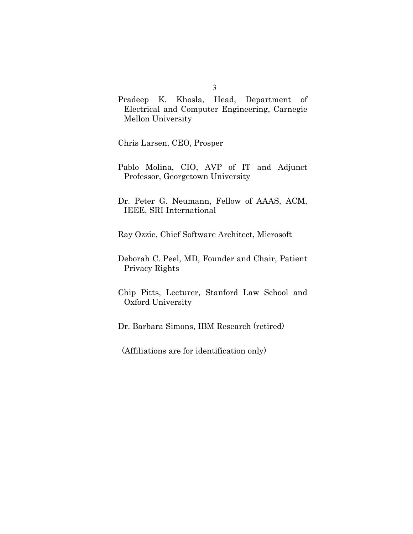Pradeep K. Khosla, Head, Department of Electrical and Computer Engineering, Carnegie Mellon University

Chris Larsen, CEO, Prosper

- Pablo Molina, CIO, AVP of IT and Adjunct Professor, Georgetown University
- Dr. Peter G. Neumann, Fellow of AAAS, ACM, IEEE, SRI International

Ray Ozzie, Chief Software Architect, Microsoft

- Deborah C. Peel, MD, Founder and Chair, Patient Privacy Rights
- Chip Pitts, Lecturer, Stanford Law School and Oxford University
- Dr. Barbara Simons, IBM Research (retired)
- (Affiliations are for identification only)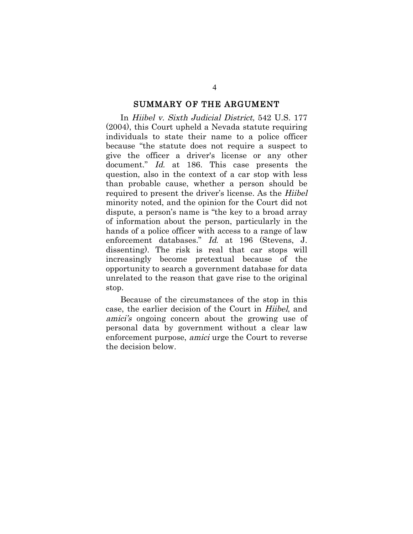#### SUMMARY OF THE ARGUMENT

In Hiibel v. Sixth Judicial District, 542 U.S. 177 (2004), this Court upheld a Nevada statute requiring individuals to state their name to a police officer because "the statute does not require a suspect to give the officer a driver's license or any other document." *Id.* at 186. This case presents the question, also in the context of a car stop with less than probable cause, whether a person should be required to present the driver's license. As the Hiibel minority noted, and the opinion for the Court did not dispute, a person's name is "the key to a broad array of information about the person, particularly in the hands of a police officer with access to a range of law enforcement databases." Id. at 196 (Stevens, J. dissenting). The risk is real that car stops will increasingly become pretextual because of the opportunity to search a government database for data unrelated to the reason that gave rise to the original stop.

Because of the circumstances of the stop in this case, the earlier decision of the Court in Hiibel, and amici's ongoing concern about the growing use of personal data by government without a clear law enforcement purpose, amici urge the Court to reverse the decision below.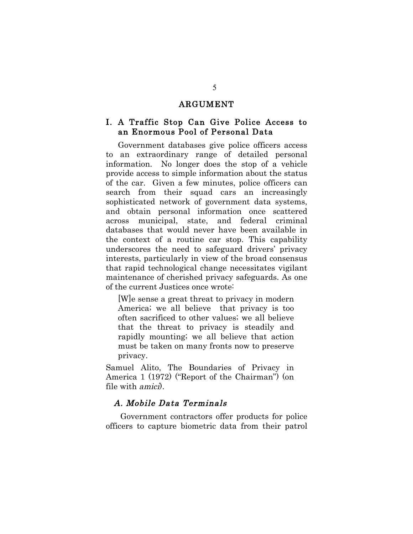### ARGUMENT

### I. A Traffic Stop Can Give Police Access to an Enormous Pool of Personal Data

Government databases give police officers access to an extraordinary range of detailed personal information. No longer does the stop of a vehicle provide access to simple information about the status of the car. Given a few minutes, police officers can search from their squad cars an increasingly sophisticated network of government data systems, and obtain personal information once scattered across municipal, state, and federal criminal databases that would never have been available in the context of a routine car stop. This capability underscores the need to safeguard drivers' privacy interests, particularly in view of the broad consensus that rapid technological change necessitates vigilant maintenance of cherished privacy safeguards. As one of the current Justices once wrote:

[W]e sense a great threat to privacy in modern America; we all believe that privacy is too often sacrificed to other values; we all believe that the threat to privacy is steadily and rapidly mounting; we all believe that action must be taken on many fronts now to preserve privacy.

Samuel Alito, The Boundaries of Privacy in America 1 (1972) ("Report of the Chairman") (on file with amici).

#### A. Mobile Data Terminals

Government contractors offer products for police officers to capture biometric data from their patrol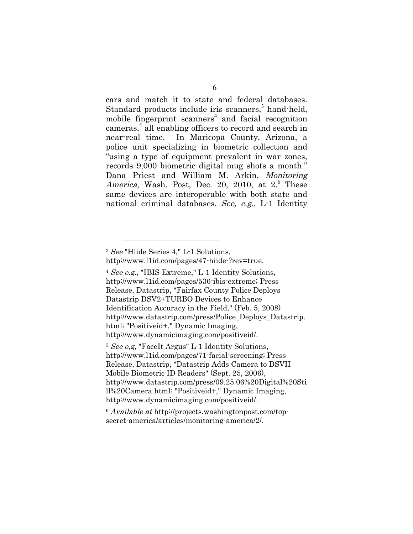cars and match it to state and federal databases. Standard products include iris scanners,<sup>3</sup> hand-held, mobile fingerprint scanners<sup>4</sup> and facial recognition cameras,<sup>5</sup> all enabling officers to record and search in near-real time. In Maricopa County, Arizona, a police unit specializing in biometric collection and "using a type of equipment prevalent in war zones, records 9,000 biometric digital mug shots a month." Dana Priest and William M. Arkin, Monitoring America, Wash. Post, Dec. 20, 2010, at  $2^6$  These same devices are interoperable with both state and national criminal databases. See, e.g.,  $L-1$  Identity

 $\overline{a}$ 

<sup>4</sup> See e.g., "IBIS Extreme," L-1 Identity Solutions, http://www.l1id.com/pages/536-ibis-extreme; Press Release, Datastrip, "Fairfax County Police Deploys Datastrip DSV2+TURBO Devices to Enhance Identification Accuracy in the Field," (Feb. 5, 2008) http://www.datastrip.com/press/Police\_Deploys\_Datastrip. html; "Positiveid+," Dynamic Imaging, http://www.dynamicimaging.com/positiveid/.

<sup>5</sup> See e,g, "FaceIt Argus" L-1 Identity Solutions, http://www.l1id.com/pages/71-facial-screening; Press Release, Datastrip, "Datastrip Adds Camera to DSVII Mobile Biometric ID Readers" (Sept. 25, 2006), http://www.datastrip.com/press/09.25.06%20Digital%20Sti ll%20Camera.html; "Positiveid+," Dynamic Imaging, http://www.dynamicimaging.com/positiveid/.

<sup>6</sup> Available at http://projects.washingtonpost.com/topsecret-america/articles/monitoring-america/2/.

<sup>3</sup> See "Hiide Series 4," L-1 Solutions, http://www.l1id.com/pages/47-hiide-?rev=true.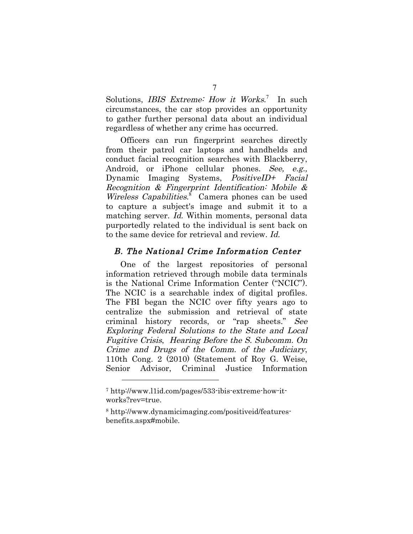Solutions, *IBIS Extreme: How it Works.*<sup>7</sup> In such circumstances, the car stop provides an opportunity to gather further personal data about an individual regardless of whether any crime has occurred.

Officers can run fingerprint searches directly from their patrol car laptops and handhelds and conduct facial recognition searches with Blackberry, Android, or iPhone cellular phones. See, e.g., Dynamic Imaging Systems, PositiveID+ Facial Recognition & Fingerprint Identification: Mobile & Wireless Capabilities. $\delta$  Camera phones can be used to capture a subject's image and submit it to a matching server. Id. Within moments, personal data purportedly related to the individual is sent back on to the same device for retrieval and review. Id.

### B. The National Crime Information Center

One of the largest repositories of personal information retrieved through mobile data terminals is the National Crime Information Center ("NCIC"). The NCIC is a searchable index of digital profiles. The FBI began the NCIC over fifty years ago to centralize the submission and retrieval of state criminal history records, or "rap sheets." See Exploring Federal Solutions to the State and Local Fugitive Crisis, Hearing Before the S. Subcomm. On Crime and Drugs of the Comm. of the Judiciary, 110th Cong. 2 (2010) (Statement of Roy G. Weise, Senior Advisor, Criminal Justice Information

<sup>7</sup> http://www.l1id.com/pages/533-ibis-extreme-how-itworks?rev=true.

<sup>8</sup> http://www.dynamicimaging.com/positiveid/featuresbenefits.aspx#mobile.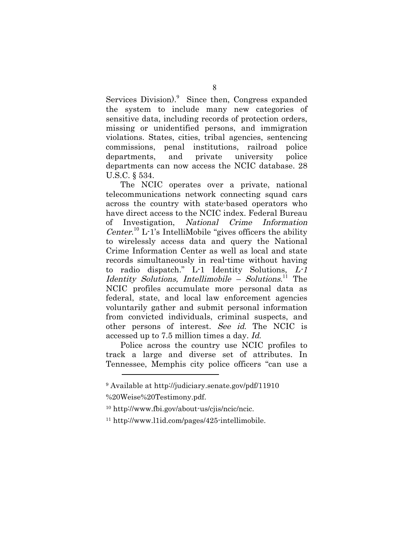Services Division).<sup>9</sup> Since then, Congress expanded the system to include many new categories of sensitive data, including records of protection orders, missing or unidentified persons, and immigration violations. States, cities, tribal agencies, sentencing commissions, penal institutions, railroad police departments, and private university police departments can now access the NCIC database. 28 U.S.C. § 534.

The NCIC operates over a private, national telecommunications network connecting squad cars across the country with state-based operators who have direct access to the NCIC index. Federal Bureau of Investigation, National Crime Information Center.<sup>10</sup> L-1's IntelliMobile "gives officers the ability" to wirelessly access data and query the National Crime Information Center as well as local and state records simultaneously in real-time without having to radio dispatch." L-1 Identity Solutions, L-1 Identity Solutions, Intellimobile - Solutions.<sup>11</sup> The NCIC profiles accumulate more personal data as federal, state, and local law enforcement agencies voluntarily gather and submit personal information from convicted individuals, criminal suspects, and other persons of interest. See id. The NCIC is accessed up to 7.5 million times a day. Id.

Police across the country use NCIC profiles to track a large and diverse set of attributes. In Tennessee, Memphis city police officers "can use a

%20Weise%20Testimony.pdf.

<sup>9</sup> Available at http://judiciary.senate.gov/pdf/11910

<sup>10</sup> http://www.fbi.gov/about-us/cjis/ncic/ncic.

<sup>11</sup> http://www.l1id.com/pages/425-intellimobile.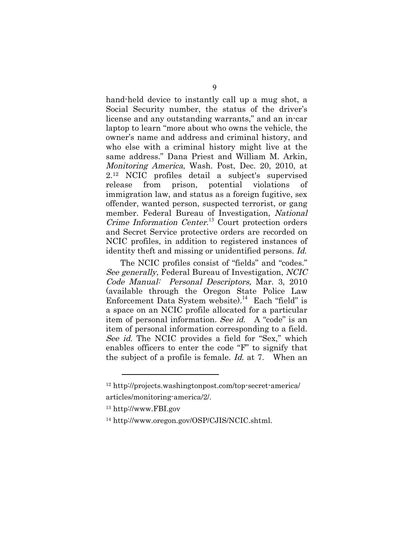hand-held device to instantly call up a mug shot, a Social Security number, the status of the driver's license and any outstanding warrants," and an in-car laptop to learn "more about who owns the vehicle, the owner's name and address and criminal history, and who else with a criminal history might live at the same address." Dana Priest and William M. Arkin, Monitoring America, Wash. Post, Dec. 20, 2010, at 2.12 NCIC profiles detail a subject's supervised release from prison, potential violations of immigration law, and status as a foreign fugitive, sex offender, wanted person, suspected terrorist, or gang member. Federal Bureau of Investigation, National Crime Information Center.<sup>13</sup> Court protection orders and Secret Service protective orders are recorded on NCIC profiles, in addition to registered instances of identity theft and missing or unidentified persons. Id.

The NCIC profiles consist of "fields" and "codes." See generally, Federal Bureau of Investigation, NCIC Code Manual: Personal Descriptors, Mar. 3, 2010 (available through the Oregon State Police Law Enforcement Data System website). <sup>14</sup> Each "field" is a space on an NCIC profile allocated for a particular item of personal information. See id. A "code" is an item of personal information corresponding to a field. See id. The NCIC provides a field for "Sex," which enables officers to enter the code "F" to signify that the subject of a profile is female. Id. at 7. When an

<sup>12</sup> http://projects.washingtonpost.com/top-secret-america/ articles/monitoring-america/2/.

<sup>13</sup> http://www.FBI.gov

<sup>14</sup> http://www.oregon.gov/OSP/CJIS/NCIC.shtml.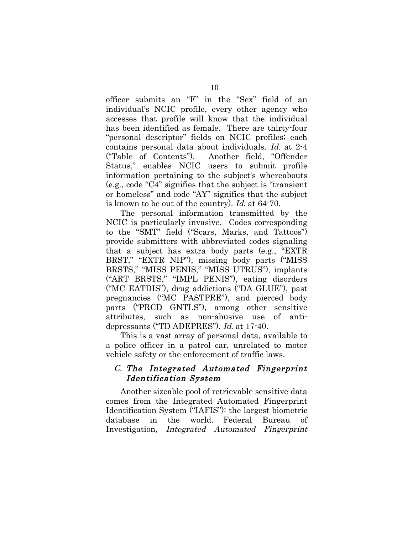officer submits an "F" in the "Sex" field of an individual's NCIC profile, every other agency who accesses that profile will know that the individual has been identified as female. There are thirty-four "personal descriptor" fields on NCIC profiles; each contains personal data about individuals. Id. at 2-4 ("Table of Contents"). Another field, "Offender Status," enables NCIC users to submit profile information pertaining to the subject's whereabouts (e.g., code "C4" signifies that the subject is "transient or homeless" and code "AY" signifies that the subject is known to be out of the country). Id. at 64-70.

The personal information transmitted by the NCIC is particularly invasive. Codes corresponding to the "SMT" field ("Scars, Marks, and Tattoos") provide submitters with abbreviated codes signaling that a subject has extra body parts (e.g., "EXTR BRST," "EXTR NIP"), missing body parts ("MISS BRSTS," "MISS PENIS," "MISS UTRUS"), implants ("ART BRSTS," "IMPL PENIS"), eating disorders ("MC EATDIS"), drug addictions ("DA GLUE"), past pregnancies ("MC PASTPRE"), and pierced body parts ("PRCD GNTLS"), among other sensitive attributes, such as non-abusive use of antidepressants ("TD ADEPRES"). Id. at 17-40.

This is a vast array of personal data, available to a police officer in a patrol car, unrelated to motor vehicle safety or the enforcement of traffic laws.

### C. The Integrated Automated Fingerprint Identification System

Another sizeable pool of retrievable sensitive data comes from the Integrated Automated Fingerprint Identification System ("IAFIS"): the largest biometric database in the world. Federal Bureau of Investigation, Integrated Automated Fingerprint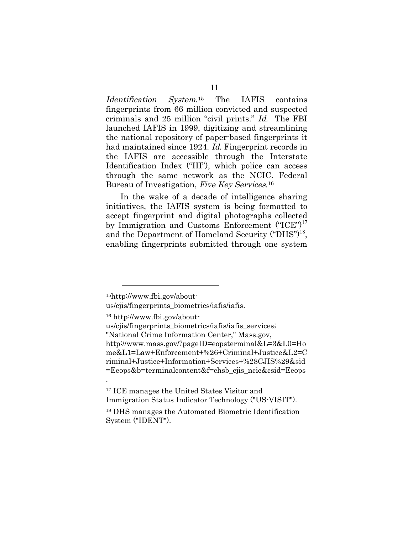Identification System.15 The IAFIS contains fingerprints from 66 million convicted and suspected criminals and 25 million "civil prints." Id. The FBI launched IAFIS in 1999, digitizing and streamlining the national repository of paper-based fingerprints it had maintained since 1924. Id. Fingerprint records in the IAFIS are accessible through the Interstate Identification Index ("III"), which police can access through the same network as the NCIC. Federal Bureau of Investigation, Five Key Services.<sup>16</sup>

In the wake of a decade of intelligence sharing initiatives, the IAFIS system is being formatted to accept fingerprint and digital photographs collected by Immigration and Customs Enforcement ("ICE")<sup>17</sup> and the Department of Homeland Security ("DHS")<sup>18</sup>, enabling fingerprints submitted through one system

 $\overline{a}$ 

.

us/cjis/fingerprints\_biometrics/iafis/iafis.

17 ICE manages the United States Visitor and Immigration Status Indicator Technology ("US-VISIT").

<sup>15</sup>http://www.fbi.gov/about-

<sup>16</sup> http://www.fbi.gov/about-

us/cjis/fingerprints\_biometrics/iafis/iafis\_services; "National Crime Information Center," Mass.gov, http://www.mass.gov/?pageID=eopsterminal&L=3&L0=Ho me&L1=Law+Enforcement+%26+Criminal+Justice&L2=C riminal+Justice+Information+Services+%28CJIS%29&sid =Eeops&b=terminalcontent&f=chsb\_cjis\_ncic&csid=Eeops

<sup>18</sup> DHS manages the Automated Biometric Identification System ("IDENT").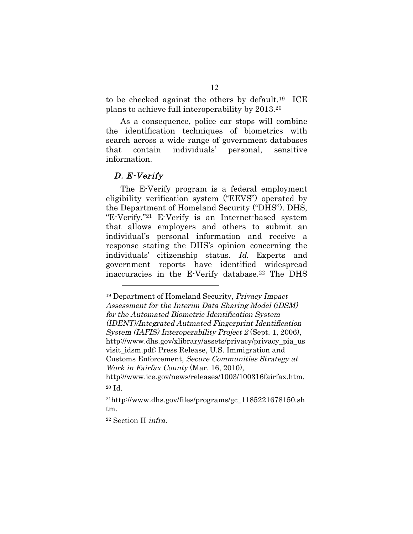to be checked against the others by default.19 ICE plans to achieve full interoperability by 2013.20

As a consequence, police car stops will combine the identification techniques of biometrics with search across a wide range of government databases that contain individuals' personal, sensitive information.

#### D. E-Verify

 $\overline{a}$ 

The E-Verify program is a federal employment eligibility verification system ("EEVS") operated by the Department of Homeland Security ("DHS"). DHS, "E-Verify."21 E-Verify is an Internet-based system that allows employers and others to submit an individual's personal information and receive a response stating the DHS's opinion concerning the individuals' citizenship status. Id. Experts and government reports have identified widespread inaccuracies in the E-Verify database.<sup>22</sup> The DHS

22 Section II infra.

<sup>19</sup> Department of Homeland Security, Privacy Impact Assessment for the Interim Data Sharing Model (iDSM) for the Automated Biometric Identification System (IDENT)/Integrated Autmated Fingerprint Identification System (IAFIS) Interoperability Project 2 (Sept. 1, 2006), http://www.dhs.gov/xlibrary/assets/privacy/privacy\_pia\_us visit\_idsm.pdf; Press Release, U.S. Immigration and Customs Enforcement, Secure Communities Strategy at Work in Fairfax County (Mar. 16, 2010), http://www.ice.gov/news/releases/1003/100316fairfax.htm.

<sup>20</sup> Id.

<sup>21</sup>http://www.dhs.gov/files/programs/gc\_1185221678150.sh tm.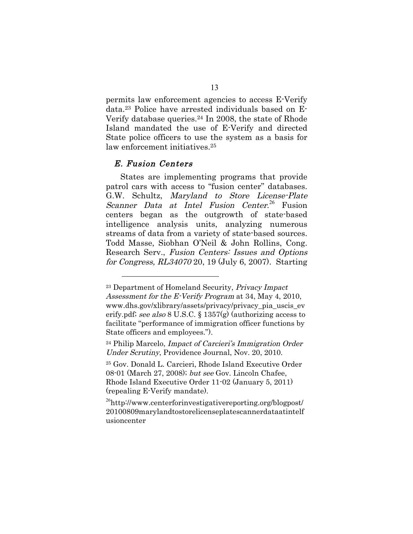permits law enforcement agencies to access E-Verify data.23 Police have arrested individuals based on E-Verify database queries.24 In 2008, the state of Rhode Island mandated the use of E-Verify and directed State police officers to use the system as a basis for law enforcement initiatives.<sup>25</sup>

#### E. Fusion Centers

 $\overline{a}$ 

States are implementing programs that provide patrol cars with access to "fusion center" databases. G.W. Schultz, Maryland to Store License-Plate Scanner Data at Intel Fusion Center.<sup>26</sup> Fusion centers began as the outgrowth of state-based intelligence analysis units, analyzing numerous streams of data from a variety of state-based sources. Todd Masse, Siobhan O'Neil & John Rollins, Cong. Research Serv., Fusion Centers: Issues and Options for Congress, RL34070 20, 19 (July 6, 2007). Starting

<sup>&</sup>lt;sup>23</sup> Department of Homeland Security, Privacy Impact Assessment for the E-Verify Program at 34, May 4, 2010, www.dhs.gov/xlibrary/assets/privacy/privacy\_pia\_uscis\_ev erify.pdf; see also 8 U.S.C. § 1357(g) (authorizing access to facilitate "performance of immigration officer functions by State officers and employees.").

 $24$  Philip Marcelo, Impact of Carcieri's Immigration Order Under Scrutiny, Providence Journal, Nov. 20, 2010.

<sup>25</sup> Gov. Donald L. Carcieri, Rhode Island Executive Order 08-01 (March 27, 2008); but see Gov. Lincoln Chafee, Rhode Island Executive Order 11-02 (January 5, 2011) (repealing E-Verify mandate).

<sup>&</sup>lt;sup>26</sup>http://www.centerforinvestigativereporting.org/blogpost/ 20100809marylandtostorelicenseplatescannerdataatintelf usioncenter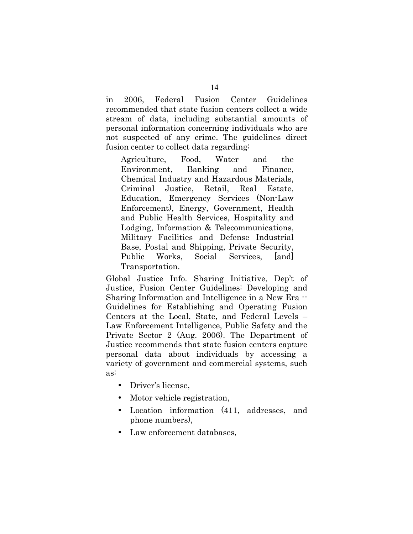in 2006, Federal Fusion Center Guidelines recommended that state fusion centers collect a wide stream of data, including substantial amounts of personal information concerning individuals who are not suspected of any crime. The guidelines direct fusion center to collect data regarding:

Agriculture, Food, Water and the Environment, Banking and Finance, Chemical Industry and Hazardous Materials, Criminal Justice, Retail, Real Estate, Education, Emergency Services (Non-Law Enforcement), Energy, Government, Health and Public Health Services, Hospitality and Lodging, Information & Telecommunications, Military Facilities and Defense Industrial Base, Postal and Shipping, Private Security, Public Works, Social Services, [and] Transportation.

Global Justice Info. Sharing Initiative, Dep't of Justice, Fusion Center Guidelines: Developing and Sharing Information and Intelligence in a New Era -- Guidelines for Establishing and Operating Fusion Centers at the Local, State, and Federal Levels – Law Enforcement Intelligence, Public Safety and the Private Sector 2 (Aug. 2006). The Department of Justice recommends that state fusion centers capture personal data about individuals by accessing a variety of government and commercial systems, such as:

- Driver's license,
- Motor vehicle registration,
- Location information (411, addresses, and phone numbers),
- Law enforcement databases,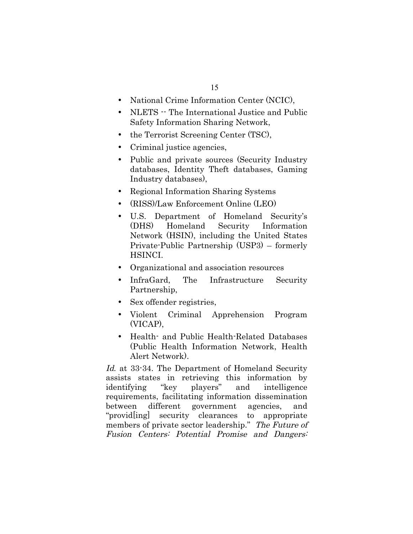- National Crime Information Center (NCIC),
- NLETS -- The International Justice and Public Safety Information Sharing Network,
- the Terrorist Screening Center (TSC),
- Criminal justice agencies,
- Public and private sources (Security Industry databases, Identity Theft databases, Gaming Industry databases),
- Regional Information Sharing Systems
- (RISS)/Law Enforcement Online (LEO)
- U.S. Department of Homeland Security's (DHS) Homeland Security Information Network (HSIN), including the United States Private-Public Partnership (USP3) – formerly HSINCI.
- Organizational and association resources
- InfraGard, The Infrastructure Security Partnership,
- Sex offender registries,
- Violent Criminal Apprehension Program (VICAP),
- Health- and Public Health-Related Databases (Public Health Information Network, Health Alert Network).

Id. at 33-34. The Department of Homeland Security assists states in retrieving this information by identifying "key players" and intelligence requirements, facilitating information dissemination between different government agencies, and "provid[ing] security clearances to appropriate members of private sector leadership." The Future of Fusion Centers: Potential Promise and Dangers: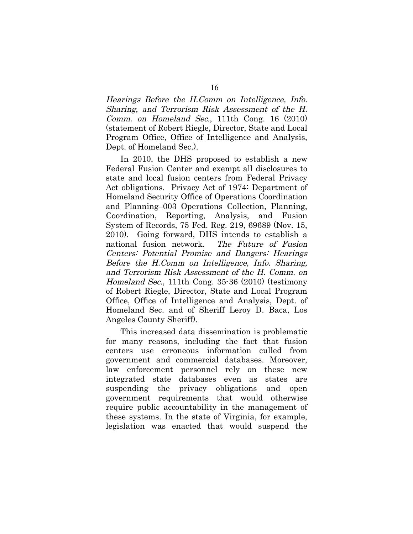Hearings Before the H.Comm on Intelligence, Info. Sharing, and Terrorism Risk Assessment of the H. Comm. on Homeland Sec., 111th Cong. 16 (2010) (statement of Robert Riegle, Director, State and Local Program Office, Office of Intelligence and Analysis, Dept. of Homeland Sec.).

In 2010, the DHS proposed to establish a new Federal Fusion Center and exempt all disclosures to state and local fusion centers from Federal Privacy Act obligations. Privacy Act of 1974: Department of Homeland Security Office of Operations Coordination and Planning–003 Operations Collection, Planning, Coordination, Reporting, Analysis, and Fusion System of Records, 75 Fed. Reg. 219, 69689 (Nov. 15, 2010). Going forward, DHS intends to establish a national fusion network. The Future of Fusion Centers: Potential Promise and Dangers: Hearings Before the H.Comm on Intelligence, Info. Sharing, and Terrorism Risk Assessment of the H. Comm. on Homeland Sec., 111th Cong. 35-36 (2010) (testimony of Robert Riegle, Director, State and Local Program Office, Office of Intelligence and Analysis, Dept. of Homeland Sec. and of Sheriff Leroy D. Baca, Los Angeles County Sheriff).

This increased data dissemination is problematic for many reasons, including the fact that fusion centers use erroneous information culled from government and commercial databases. Moreover, law enforcement personnel rely on these new integrated state databases even as states are suspending the privacy obligations and open government requirements that would otherwise require public accountability in the management of these systems. In the state of Virginia, for example, legislation was enacted that would suspend the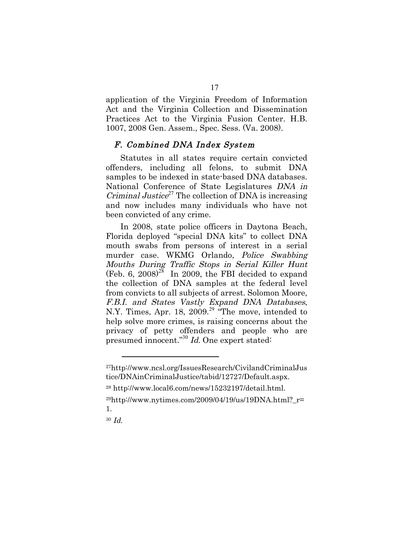application of the Virginia Freedom of Information Act and the Virginia Collection and Dissemination Practices Act to the Virginia Fusion Center. H.B. 1007, 2008 Gen. Assem., Spec. Sess. (Va. 2008).

### F. Combined DNA Index System

Statutes in all states require certain convicted offenders, including all felons, to submit DNA samples to be indexed in state-based DNA databases. National Conference of State Legislatures DNA in Criminal Justice<sup>27</sup> The collection of DNA is increasing and now includes many individuals who have not been convicted of any crime.

In 2008, state police officers in Daytona Beach, Florida deployed "special DNA kits" to collect DNA mouth swabs from persons of interest in a serial murder case. WKMG Orlando, Police Swabbing Mouths During Traffic Stops in Serial Killer Hunt (Feb. 6, 2008)<sup>28</sup> In 2009, the FBI decided to expand the collection of DNA samples at the federal level from convicts to all subjects of arrest. Solomon Moore, F.B.I. and States Vastly Expand DNA Databases, N.Y. Times, Apr. 18, 2009.<sup>29</sup> "The move, intended to help solve more crimes, is raising concerns about the privacy of petty offenders and people who are presumed innocent."<sup>30</sup> Id. One expert stated:

<sup>27</sup>http://www.ncsl.org/IssuesResearch/CivilandCriminalJus tice/DNAinCriminalJustice/tabid/12727/Default.aspx.

<sup>28</sup> http://www.local6.com/news/15232197/detail.html.

 $^{29}$ http://www.nytimes.com/2009/04/19/us/19DNA.html? r= 1.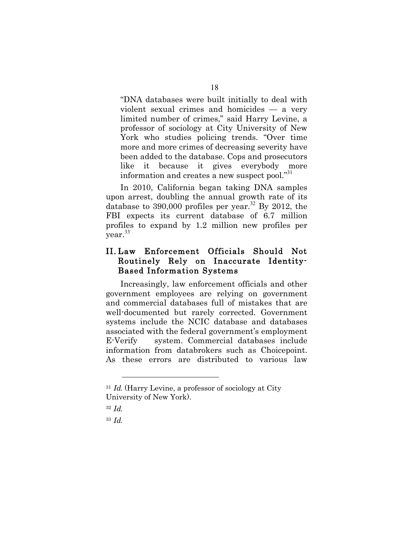"DNA databases were built initially to deal with violent sexual crimes and homicides — a very limited number of crimes," said Harry Levine, a professor of sociology at City University of New York who studies policing trends. "Over time more and more crimes of decreasing severity have been added to the database. Cops and prosecutors like it because it gives everybody more information and creates a new suspect pool."<sup>31</sup>

In 2010, California began taking DNA samples upon arrest, doubling the annual growth rate of its database to 390,000 profiles per year.<sup>32</sup> By 2012, the FBI expects its current database of 6.7 million profiles to expand by 1.2 million new profiles per year.<sup>33</sup>

### II. Law Enforcement Officials Should Not Routinely Rely on Inaccurate Identity-Based Information Systems

Increasingly, law enforcement officials and other government employees are relying on government and commercial databases full of mistakes that are well-documented but rarely corrected. Government systems include the NCIC database and databases associated with the federal government's employment E-Verify system. Commercial databases include information from databrokers such as Choicepoint. As these errors are distributed to various law

<sup>&</sup>lt;sup>31</sup> Id. (Harry Levine, a professor of sociology at City University of New York).

<sup>32</sup> Id.

<sup>33</sup> Id.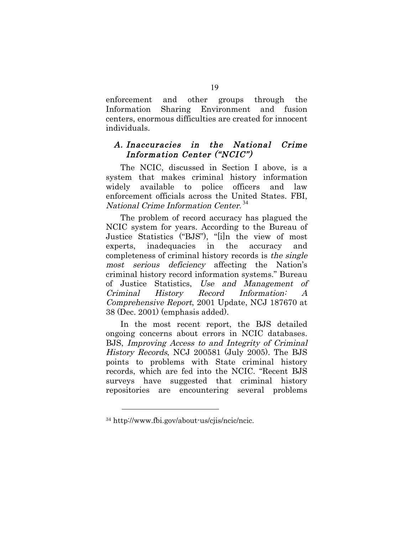enforcement and other groups through the Information Sharing Environment and fusion centers, enormous difficulties are created for innocent individuals.

### A. Inaccuracies in the National Crime Information Center ("NCIC")

The NCIC, discussed in Section I above, is a system that makes criminal history information widely available to police officers and law enforcement officials across the United States. FBI, National Crime Information Center. 34

The problem of record accuracy has plagued the NCIC system for years. According to the Bureau of Justice Statistics ("BJS"), "[i]n the view of most experts, inadequacies in the accuracy and completeness of criminal history records is the single most serious deficiency affecting the Nation's criminal history record information systems." Bureau of Justice Statistics, Use and Management of Criminal History Record Information: A Comprehensive Report, 2001 Update, NCJ 187670 at 38 (Dec. 2001) (emphasis added).

In the most recent report, the BJS detailed ongoing concerns about errors in NCIC databases. BJS, Improving Access to and Integrity of Criminal History Records, NCJ 200581 (July 2005). The BJS points to problems with State criminal history records, which are fed into the NCIC. "Recent BJS surveys have suggested that criminal history repositories are encountering several problems

<sup>34</sup> http://www.fbi.gov/about-us/cjis/ncic/ncic.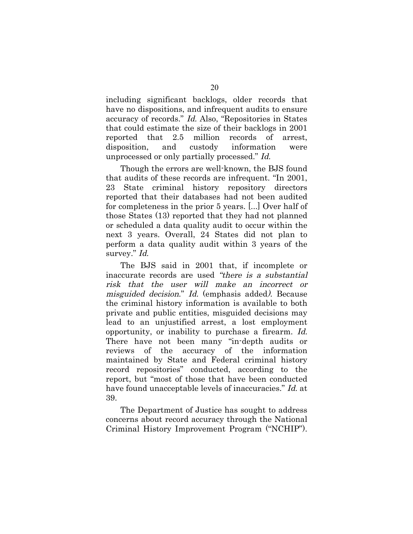including significant backlogs, older records that have no dispositions, and infrequent audits to ensure accuracy of records." Id. Also, "Repositories in States that could estimate the size of their backlogs in 2001 reported that 2.5 million records of arrest, disposition, and custody information were unprocessed or only partially processed." Id.

Though the errors are well-known, the BJS found that audits of these records are infrequent. "In 2001, 23 State criminal history repository directors reported that their databases had not been audited for completeness in the prior 5 years. [...] Over half of those States (13) reported that they had not planned or scheduled a data quality audit to occur within the next 3 years. Overall, 24 States did not plan to perform a data quality audit within 3 years of the survey." Id.

The BJS said in 2001 that, if incomplete or inaccurate records are used "there is a substantial risk that the user will make an incorrect or misguided decision." Id. (emphasis added). Because the criminal history information is available to both private and public entities, misguided decisions may lead to an unjustified arrest, a lost employment opportunity, or inability to purchase a firearm. Id. There have not been many "in-depth audits or reviews of the accuracy of the information maintained by State and Federal criminal history record repositories" conducted, according to the report, but "most of those that have been conducted have found unacceptable levels of inaccuracies." Id. at 39.

The Department of Justice has sought to address concerns about record accuracy through the National Criminal History Improvement Program ("NCHIP").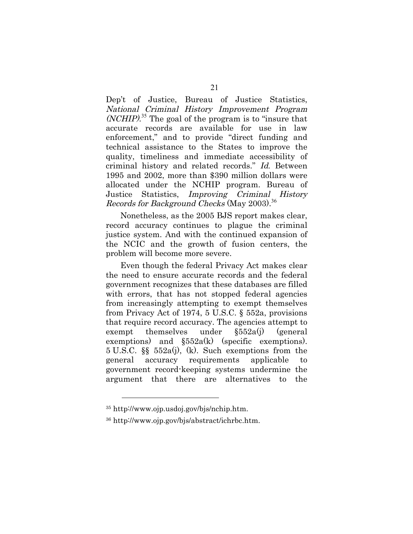Dep't of Justice, Bureau of Justice Statistics, National Criminal History Improvement Program (NCHIP). <sup>35</sup> The goal of the program is to "insure that accurate records are available for use in law enforcement," and to provide "direct funding and technical assistance to the States to improve the quality, timeliness and immediate accessibility of criminal history and related records." Id. Between 1995 and 2002, more than \$390 million dollars were allocated under the NCHIP program. Bureau of Justice Statistics, Improving Criminal History Records for Background Checks (May 2003).<sup>36</sup>

Nonetheless, as the 2005 BJS report makes clear, record accuracy continues to plague the criminal justice system. And with the continued expansion of the NCIC and the growth of fusion centers, the problem will become more severe.

Even though the federal Privacy Act makes clear the need to ensure accurate records and the federal government recognizes that these databases are filled with errors, that has not stopped federal agencies from increasingly attempting to exempt themselves from Privacy Act of 1974, 5 U.S.C. § 552a, provisions that require record accuracy. The agencies attempt to exempt themselves under §552a(j) (general exemptions) and  $\S 552a(k)$  (specific exemptions). 5 U.S.C. §§ 552a(j), (k). Such exemptions from the general accuracy requirements applicable to government record-keeping systems undermine the argument that there are alternatives to the

<sup>35</sup> http://www.ojp.usdoj.gov/bjs/nchip.htm.

<sup>36</sup> http://www.ojp.gov/bjs/abstract/ichrbc.htm.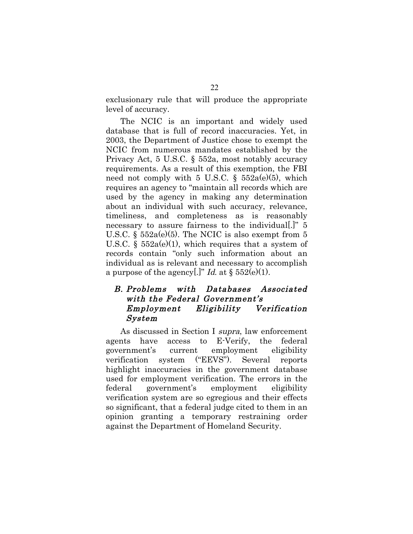exclusionary rule that will produce the appropriate level of accuracy.

The NCIC is an important and widely used database that is full of record inaccuracies. Yet, in 2003, the Department of Justice chose to exempt the NCIC from numerous mandates established by the Privacy Act, 5 U.S.C. § 552a, most notably accuracy requirements. As a result of this exemption, the FBI need not comply with 5 U.S.C.  $\S$  552a(e)(5), which requires an agency to "maintain all records which are used by the agency in making any determination about an individual with such accuracy, relevance, timeliness, and completeness as is reasonably necessary to assure fairness to the individual..." 5 U.S.C.  $\frac{552a(e)}{5}$ . The NCIC is also exempt from 5 U.S.C.  $\S$  552a(e)(1), which requires that a system of records contain "only such information about an individual as is relevant and necessary to accomplish a purpose of the agency[.]" Id. at  $\S 552(e)(1)$ .

### B. Problems with Databases Associated with the Federal Government's Employment Eligibility Verification System

As discussed in Section I supra, law enforcement agents have access to E-Verify, the federal government's current employment eligibility verification system ("EEVS"). Several reports highlight inaccuracies in the government database used for employment verification. The errors in the federal government's employment eligibility verification system are so egregious and their effects so significant, that a federal judge cited to them in an opinion granting a temporary restraining order against the Department of Homeland Security.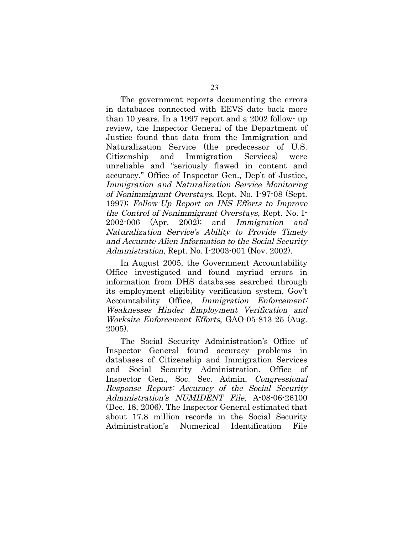The government reports documenting the errors in databases connected with EEVS date back more than 10 years. In a 1997 report and a 2002 follow- up review, the Inspector General of the Department of Justice found that data from the Immigration and Naturalization Service (the predecessor of U.S. Citizenship and Immigration Services) were unreliable and "seriously flawed in content and accuracy." Office of Inspector Gen., Dep't of Justice, Immigration and Naturalization Service Monitoring of Nonimmigrant Overstays, Rept. No. I-97-08 (Sept. 1997); Follow-Up Report on INS Efforts to Improve the Control of Nonimmigrant Overstays, Rept. No. I-2002-006 (Apr. 2002); and Immigration and Naturalization Service's Ability to Provide Timely and Accurate Alien Information to the Social Security Administration, Rept. No. I-2003-001 (Nov. 2002).

In August 2005, the Government Accountability Office investigated and found myriad errors in information from DHS databases searched through its employment eligibility verification system. Gov't Accountability Office, Immigration Enforcement: Weaknesses Hinder Employment Verification and Worksite Enforcement Efforts, GAO-05-813 25 (Aug. 2005).

The Social Security Administration's Office of Inspector General found accuracy problems in databases of Citizenship and Immigration Services and Social Security Administration. Office of Inspector Gen., Soc. Sec. Admin, Congressional Response Report: Accuracy of the Social Security Administration's NUMIDENT File, A-08-06-26100 (Dec. 18, 2006). The Inspector General estimated that about 17.8 million records in the Social Security Administration's Numerical Identification File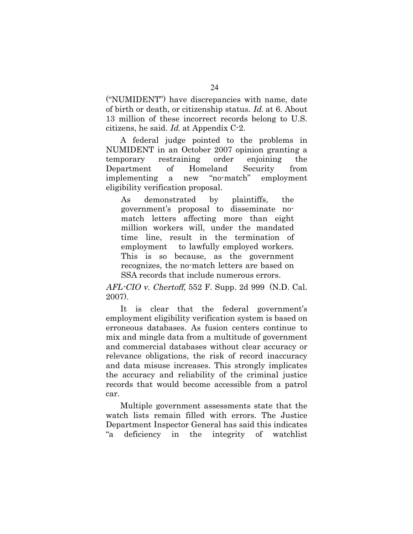("NUMIDENT") have discrepancies with name, date of birth or death, or citizenship status. Id. at 6. About 13 million of these incorrect records belong to U.S. citizens, he said. Id. at Appendix C-2.

A federal judge pointed to the problems in NUMIDENT in an October 2007 opinion granting a temporary restraining order enjoining the Department of Homeland Security from implementing a new "no-match" employment eligibility verification proposal.

As demonstrated by plaintiffs, the government's proposal to disseminate nomatch letters affecting more than eight million workers will, under the mandated time line, result in the termination of employment to lawfully employed workers. This is so because, as the government recognizes, the no-match letters are based on SSA records that include numerous errors.

 $AFL-CIO$  v. Chertoff, 552 F. Supp. 2d 999 (N.D. Cal.) 2007).

It is clear that the federal government's employment eligibility verification system is based on erroneous databases. As fusion centers continue to mix and mingle data from a multitude of government and commercial databases without clear accuracy or relevance obligations, the risk of record inaccuracy and data misuse increases. This strongly implicates the accuracy and reliability of the criminal justice records that would become accessible from a patrol car.

Multiple government assessments state that the watch lists remain filled with errors. The Justice Department Inspector General has said this indicates "a deficiency in the integrity of watchlist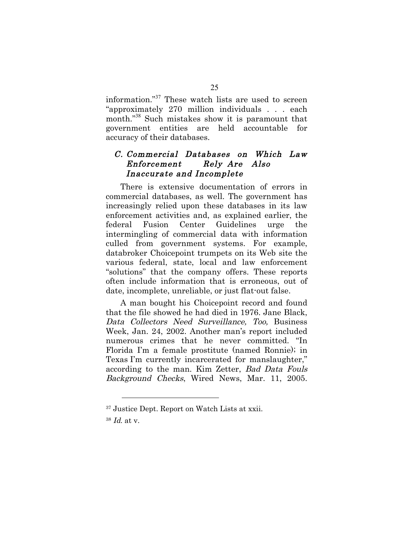information." <sup>37</sup> These watch lists are used to screen "approximately 270 million individuals . . . each month." <sup>38</sup> Such mistakes show it is paramount that government entities are held accountable for accuracy of their databases.

### C. Commercial Databases on Which Law Enforcement Rely Are Also Inaccurate and Incomplete

There is extensive documentation of errors in commercial databases, as well. The government has increasingly relied upon these databases in its law enforcement activities and, as explained earlier, the federal Fusion Center Guidelines urge the intermingling of commercial data with information culled from government systems. For example, databroker Choicepoint trumpets on its Web site the various federal, state, local and law enforcement "solutions" that the company offers. These reports often include information that is erroneous, out of date, incomplete, unreliable, or just flat-out false.

A man bought his Choicepoint record and found that the file showed he had died in 1976. Jane Black, Data Collectors Need Surveillance, Too, Business Week, Jan. 24, 2002. Another man's report included numerous crimes that he never committed. "In Florida I'm a female prostitute (named Ronnie); in Texas I'm currently incarcerated for manslaughter," according to the man. Kim Zetter, Bad Data Fouls Background Checks, Wired News, Mar. 11, 2005.

<sup>37</sup> Justice Dept. Report on Watch Lists at xxii.

<sup>38</sup> Id. at v.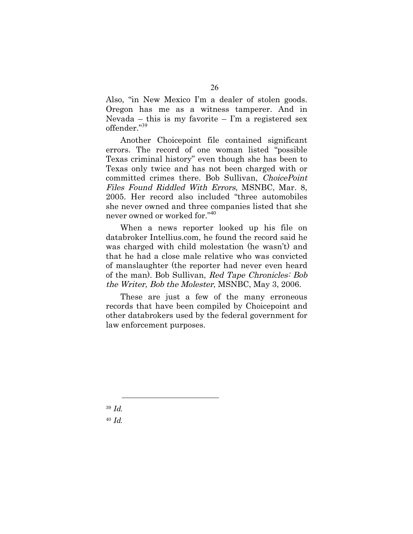Also, "in New Mexico I'm a dealer of stolen goods. Oregon has me as a witness tamperer. And in Nevada – this is my favorite – I'm a registered sex offender." 39

Another Choicepoint file contained significant errors. The record of one woman listed "possible Texas criminal history" even though she has been to Texas only twice and has not been charged with or committed crimes there. Bob Sullivan, ChoicePoint Files Found Riddled With Errors, MSNBC, Mar. 8, 2005. Her record also included "three automobiles she never owned and three companies listed that she never owned or worked for." 40

When a news reporter looked up his file on databroker Intellius.com, he found the record said he was charged with child molestation (he wasn't) and that he had a close male relative who was convicted of manslaughter (the reporter had never even heard of the man). Bob Sullivan, Red Tape Chronicles: Bob the Writer, Bob the Molester, MSNBC, May 3, 2006.

These are just a few of the many erroneous records that have been compiled by Choicepoint and other databrokers used by the federal government for law enforcement purposes.

<sup>39</sup> Id.  $40$  *Id.*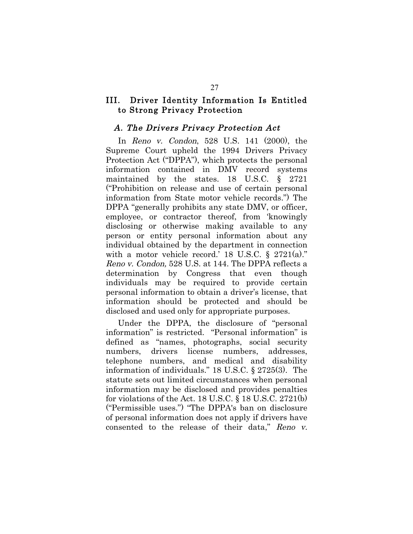### III. Driver Identity Information Is Entitled to Strong Privacy Protection

#### A. The Drivers Privacy Protection Act

In Reno v. Condon, 528 U.S. 141 (2000), the Supreme Court upheld the 1994 Drivers Privacy Protection Act ("DPPA"), which protects the personal information contained in DMV record systems maintained by the states. 18 U.S.C. § 2721 ("Prohibition on release and use of certain personal information from State motor vehicle records.") The DPPA "generally prohibits any state DMV, or officer, employee, or contractor thereof, from 'knowingly disclosing or otherwise making available to any person or entity personal information about any individual obtained by the department in connection with a motor vehicle record.' 18 U.S.C.  $\S$  2721(a)." Reno v. Condon, 528 U.S. at 144. The DPPA reflects a determination by Congress that even though individuals may be required to provide certain personal information to obtain a driver's license, that information should be protected and should be disclosed and used only for appropriate purposes.

Under the DPPA, the disclosure of "personal information" is restricted. "Personal information" is defined as "names, photographs, social security numbers, drivers license numbers, addresses, telephone numbers, and medical and disability information of individuals." 18 U.S.C. § 2725(3). The statute sets out limited circumstances when personal information may be disclosed and provides penalties for violations of the Act. 18 U.S.C. § 18 U.S.C. 2721(b) ("Permissible uses.") "The DPPA's ban on disclosure of personal information does not apply if drivers have consented to the release of their data," Reno v.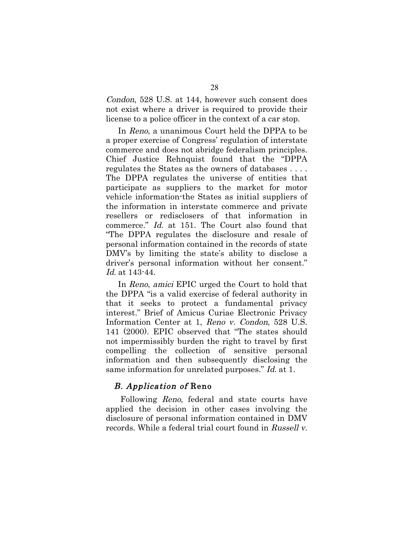Condon, 528 U.S. at 144, however such consent does not exist where a driver is required to provide their license to a police officer in the context of a car stop.

In Reno, a unanimous Court held the DPPA to be a proper exercise of Congress' regulation of interstate commerce and does not abridge federalism principles. Chief Justice Rehnquist found that the "DPPA regulates the States as the owners of databases . . . . The DPPA regulates the universe of entities that participate as suppliers to the market for motor vehicle information-the States as initial suppliers of the information in interstate commerce and private resellers or redisclosers of that information in commerce." Id. at 151. The Court also found that "The DPPA regulates the disclosure and resale of personal information contained in the records of state DMV's by limiting the state's ability to disclose a driver's personal information without her consent." Id. at 143-44.

In Reno, amici EPIC urged the Court to hold that the DPPA "is a valid exercise of federal authority in that it seeks to protect a fundamental privacy interest." Brief of Amicus Curiae Electronic Privacy Information Center at 1, Reno v. Condon, 528 U.S. 141 (2000). EPIC observed that "The states should not impermissibly burden the right to travel by first compelling the collection of sensitive personal information and then subsequently disclosing the same information for unrelated purposes." Id. at 1.

#### B. Application of Reno

Following Reno, federal and state courts have applied the decision in other cases involving the disclosure of personal information contained in DMV records. While a federal trial court found in Russell v.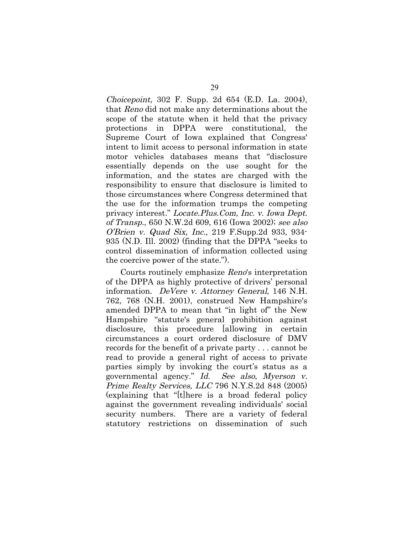Choicepoint, 302 F. Supp. 2d 654 (E.D. La. 2004), that Reno did not make any determinations about the scope of the statute when it held that the privacy protections in DPPA were constitutional, the Supreme Court of Iowa explained that Congress' intent to limit access to personal information in state motor vehicles databases means that "disclosure essentially depends on the use sought for the information, and the states are charged with the responsibility to ensure that disclosure is limited to those circumstances where Congress determined that the use for the information trumps the competing privacy interest." Locate.Plus.Com, Inc. v. Iowa Dept. of Transp., 650 N.W.2d 609, 616 (Iowa 2002); see also O'Brien v. Quad Six, Inc., 219 F.Supp.2d 933, 934- 935 (N.D. Ill. 2002) (finding that the DPPA "seeks to control dissemination of information collected using the coercive power of the state.").

Courts routinely emphasize Reno's interpretation of the DPPA as highly protective of drivers' personal information. DeVere v. Attorney General, 146 N.H. 762, 768 (N.H. 2001), construed New Hampshire's amended DPPA to mean that "in light of" the New Hampshire "statute's general prohibition against disclosure, this procedure [allowing in certain circumstances a court ordered disclosure of DMV records for the benefit of a private party . . . cannot be read to provide a general right of access to private parties simply by invoking the court's status as a governmental agency." Id. See also, Myerson v. Prime Realty Services, LLC 796 N.Y.S.2d 848 (2005) (explaining that "[t]here is a broad federal policy against the government revealing individuals' social security numbers. There are a variety of federal statutory restrictions on dissemination of such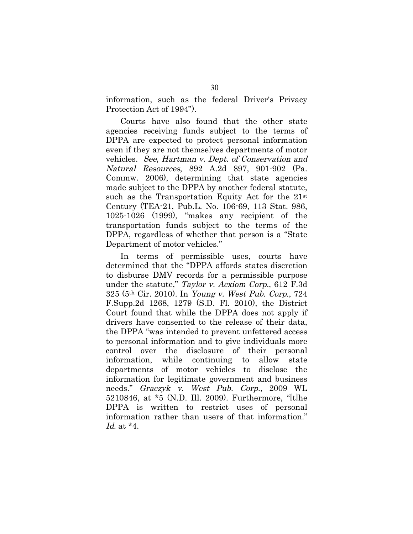information, such as the federal Driver's Privacy Protection Act of 1994").

Courts have also found that the other state agencies receiving funds subject to the terms of DPPA are expected to protect personal information even if they are not themselves departments of motor vehicles. See, Hartman v. Dept. of Conservation and Natural Resources, 892 A.2d 897, 901-902 (Pa. Commw. 2006), determining that state agencies made subject to the DPPA by another federal statute, such as the Transportation Equity Act for the 21<sup>st</sup> Century (TEA-21, Pub.L. No. 106-69, 113 Stat. 986, 1025-1026 (1999), "makes any recipient of the transportation funds subject to the terms of the DPPA, regardless of whether that person is a "State Department of motor vehicles."

In terms of permissible uses, courts have determined that the "DPPA affords states discretion to disburse DMV records for a permissible purpose under the statute," Taylor v. Acxiom Corp., 612 F.3d 325 (5th Cir. 2010). In Young v. West Pub. Corp., 724 F.Supp.2d 1268, 1279 (S.D. Fl. 2010), the District Court found that while the DPPA does not apply if drivers have consented to the release of their data, the DPPA "was intended to prevent unfettered access to personal information and to give individuals more control over the disclosure of their personal information, while continuing to allow state departments of motor vehicles to disclose the information for legitimate government and business needs." Graczyk v. West Pub. Corp., 2009 WL 5210846, at \*5 (N.D. Ill. 2009). Furthermore, "[t]he DPPA is written to restrict uses of personal information rather than users of that information." Id. at \*4.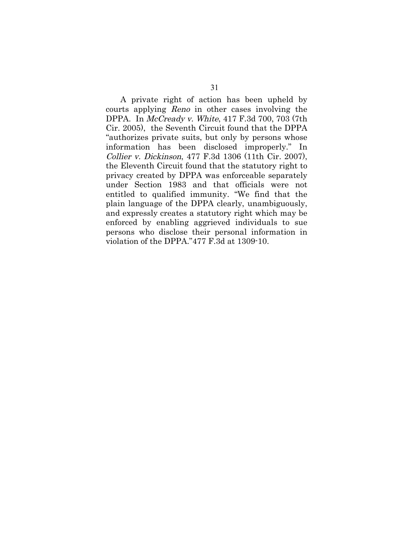A private right of action has been upheld by courts applying Reno in other cases involving the DPPA. In McCready v. White, 417 F.3d 700, 703 (7th Cir. 2005), the Seventh Circuit found that the DPPA "authorizes private suits, but only by persons whose information has been disclosed improperly." In Collier v. Dickinson, 477 F.3d 1306 (11th Cir. 2007), the Eleventh Circuit found that the statutory right to privacy created by DPPA was enforceable separately under Section 1983 and that officials were not entitled to qualified immunity. "We find that the plain language of the DPPA clearly, unambiguously, and expressly creates a statutory right which may be enforced by enabling aggrieved individuals to sue persons who disclose their personal information in violation of the DPPA."477 F.3d at 1309-10.